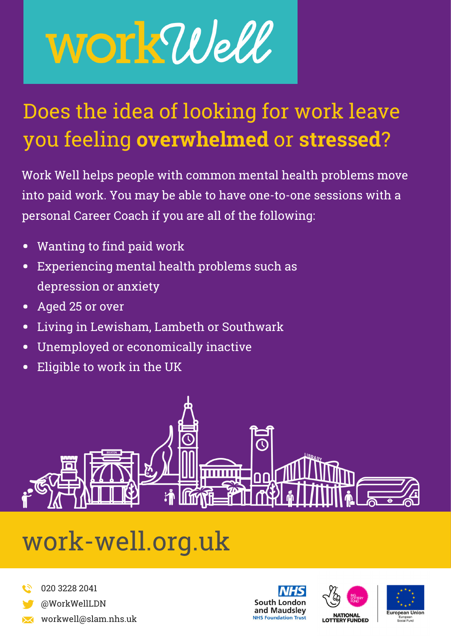# WOT KWell

### Does the idea of looking for work leave you feeling **overwhelmed** or **stressed**?

Work Well helps people with common mental health problems move into paid work. You may be able to have one-to-one sessions with a personal Career Coach if you are all of the following:

- Wanting to find paid work
- Experiencing mental health problems such as depression or anxiety
- Aged 25 or over
- Living in Lewisham, Lambeth or Southwark  $\bullet$
- Unemployed or economically inactive  $\bullet$
- Eligible to work in the UK  $\bullet$



## work-well.org.uk